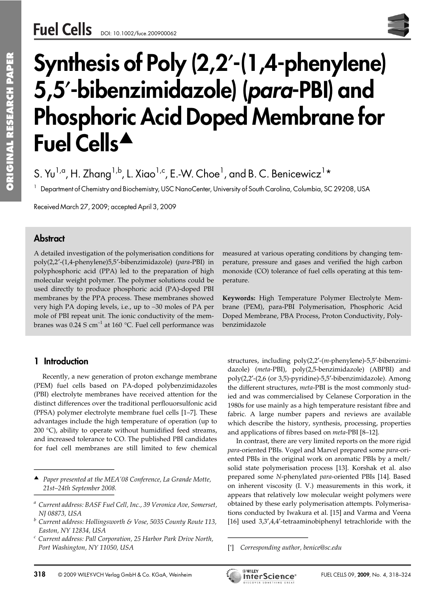# Synthesis of Poly (2,2′-(1,4-phenylene) 5,5′-bibenzimidazole) (para-PBI) and Phosphoric Acid Doped Membrane for Fuel Cells<sup>A</sup>

S. Yu<sup>1,a</sup>, H. Zhang<sup>1,b</sup>, L. Xiao<sup>1,c</sup>, E.-W. Choe<sup>1</sup>, and B. C. Benicewicz<sup>1</sup>\*

 $^1$  Department of Chemistry and Biochemistry, USC NanoCenter, University of South Carolina, Columbia, SC 29208, USA

Received March 27, 2009; accepted April 3, 2009

## **Abstract**

A detailed investigation of the polymerisation conditions for poly(2,2′-(1,4-phenylene)5,5′-bibenzimidazole) (*para*-PBI) in polyphosphoric acid (PPA) led to the preparation of high molecular weight polymer. The polymer solutions could be used directly to produce phosphoric acid (PA)-doped PBI membranes by the PPA process. These membranes showed very high PA doping levels, i.e., up to ∼30 moles of PA per mole of PBI repeat unit. The ionic conductivity of the membranes was  $0.24$  S cm<sup>-1</sup> at 160 °C. Fuel cell performance was

### 1 Introduction

Recently, a new generation of proton exchange membrane (PEM) fuel cells based on PA-doped polybenzimidazoles (PBI) electrolyte membranes have received attention for the distinct differences over the traditional perflouorsulfonic acid (PFSA) polymer electrolyte membrane fuel cells [1–7]. These advantages include the high temperature of operation (up to 200 °C), ability to operate without humidified feed streams, and increased tolerance to CO. The published PBI candidates for fuel cell membranes are still limited to few chemical **1 Introduction**<br>Recently, a new generat<br>(PEM) fuel cells based of<br>(PBI) electrolyte membrane<br>distinct differences over the<br>(PFSA) polymer electrolyte<br>advantages include the hig<br>200 °C), ability to operate<br>and increased t Recently, a new generat<br>
(PEM) fuel cells based o<br>
(PBI) electrolyte membrane<br>
distinct differences over the<br>
(PFSA) polymer electrolyte<br>
advantages include the hig<br>
200 °C), ability to operate<br>
and increased tolerance to<br>

measured at various operating conditions by changing temperature, pressure and gases and verified the high carbon monoxide (CO) tolerance of fuel cells operating at this temperature.

**Keywords:** High Temperature Polymer Electrolyte Membrane (PEM), para-PBI Polymerisation, Phosphoric Acid Doped Membrane, PBA Process, Proton Conductivity, Polybenzimidazole

structures, including poly(2,2′-(*m*-phenylene)-5,5′-bibenzimidazole) (*meta*-PBI), poly(2,5-benzimidazole) (ABPBI) and poly(2,2′-(2,6 (or 3,5)-pyridine)-5,5′-bibenzimidazole). Among the different structures, *meta*-PBI is the most commonly studied and was commercialised by Celanese Corporation in the 1980s for use mainly as a high temperature resistant fibre and fabric. A large number papers and reviews are available which describe the history, synthesis, processing, properties and applications of fibres based on *meta*-PBI [8–12].

In contrast, there are very limited reports on the more rigid *para*-oriented PBIs. Vogel and Marvel prepared some *para*-oriented PBIs in the original work on aromatic PBIs by a melt/ solid state polymerisation process [13]. Korshak et al. also prepared some *N*-phenylated *para*-oriented PBIs [14]. Based on inherent viscosity (I. V.) measurements in this work, it appears that relatively low molecular weight polymers were obtained by these early polymerisation attempts. Polymerisations conducted by Iwakura et al. [15] and Varma and Veena fabric. A large number p<br>which describe the history<br>and applications of fibres b<br>In contrast, there are ver<br>*para*-oriented PBIs. Vogel an<br>ented PBIs in the original v<br>solid state polymerisation<br>prepared some *N*-phenyla<br>o [16] used 3,3′,4,4′-tetraaminobiphenyl tetrachloride with the



<sup>!</sup> *Paper presented at the MEA'08 Conference, La Grande Motte, 21st–24th September 2008.*

*<sup>a</sup> Current address: BASF Fuel Cell, Inc., 39 Veronica Ave, Somerset, NJ 08873, USA*

*<sup>b</sup> Current address: Hollingsworth & Vose, 5035 County Route 113, Easton, NY 12834, USA*

*<sup>c</sup> Current address: Pall Corporation, 25 Harbor Park Drive North, Port Washington, NY 11050, USA*

<sup>[\*]</sup> *Corresponding author, benice@sc.edu*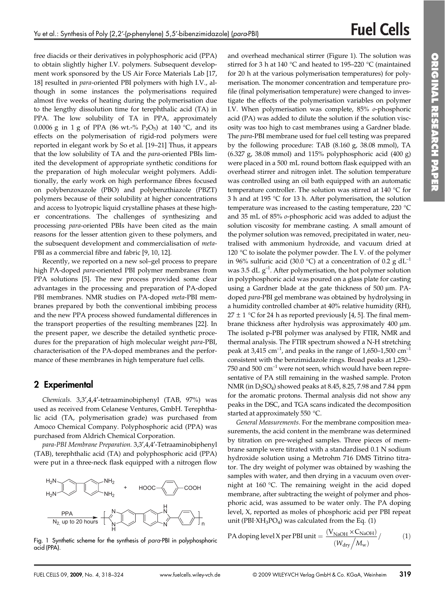free diacids or their derivatives in polyphosphoric acid (PPA) to obtain slightly higher I.V. polymers. Subsequent development work sponsored by the US Air Force Materials Lab [17, 18] resulted in *para*-oriented PBI polymers with high I.V., although in some instances the polymerisations required almost five weeks of heating during the polymerisation due to the lengthy dissolution time for terephthalic acid (TA) in PPA. The low solubility of TA in PPA, approximately 0.0006 g in 1 g of PPA (86 wt.-% P<sub>2</sub>O<sub>5</sub>) at 140 °C, and its effects on the polymerisation of rigid-rod polymers were reported in elegant work by So et al. [19–21] Thus, it appears that the low solubility of TA and the *para*-oriented PBIs limited the development of appropriate synthetic conditions for the preparation of high molecular weight polymers. Additionally, the early work on high performance fibres focused on polybenzoxazole (PBO) and polybenzthiazole (PBZT) polymers because of their solubility at higher concentrations and access to lyotropic liquid crystalline phases at these higher concentrations. The challenges of synthesizing and processing *para*-oriented PBIs have been cited as the main reasons for the lesser attention given to these polymers, and the subsequent development and commercialisation of *meta*-PBI as a commercial fibre and fabric [9, 10, 12].

Recently, we reported on a new sol–gel process to prepare high PA-doped *para*-oriented PBI polymer membranes from PPA solutions [5]. The new process provided some clear advantages in the processing and preparation of PA-doped PBI membranes. NMR studies on PA-doped *meta*-PBI membranes prepared by both the conventional imbibing process and the new PPA process showed fundamental differences in the transport properties of the resulting membranes [22]. In the present paper, we describe the detailed synthetic procedures for the preparation of high molecular weight *para*-PBI, characterisation of the PA-doped membranes and the performance of these membranes in high temperature fuel cells.

### 2 Experimental

*Chemicals.* 3,3′,4,4′-tetraaminobiphenyl (TAB, 97%) was used as received from Celanese Ventures, GmbH. Terephthalic acid (TA, polymerisation grade) was purchased from Amoco Chemical Company. Polyphosphoric acid (PPA) was purchased from Aldrich Chemical Corporation.

*para-PBI Membrane Preparation.* 3,3′,4,4′-Tetraaminobiphenyl (TAB), terephthalic acid (TA) and polyphosphoric acid (PPA) were put in a three-neck flask equipped with a nitrogen flow



Fig. 1 Synthetic scheme for the synthesis of para-PBI in polyphosphoric acid (PPA).

and overhead mechanical stirrer (Figure 1). The solution was stirred for 3 h at 140 °C and heated to 195–220 °C (maintained for 20 h at the various polymerisation temperatures) for polymerisation. The monomer concentration and temperature profile (final polymerisation temperature) were changed to investigate the effects of the polymerisation variables on polymer I.V. When polymerisation was complete, 85% *o*-phosphoric acid (PA) was added to dilute the solution if the solution viscosity was too high to cast membranes using a Gardner blade. The *para*-PBI membrane used for fuel cell testing was prepared by the following procedure: TAB (8.160 g, 38.08 mmol), TA (6.327 g, 38.08 mmol) and 115% polyphosphoric acid (400 g) were placed in a 500 mL round bottom flask equipped with an overhead stirrer and nitrogen inlet. The solution temperature was controlled using an oil bath equipped with an automatic temperature controller. The solution was stirred at 140 °C for 3 h and at 195 °C for 13 h. After polymerisation, the solution temperature was increased to the casting temperature, 220 °C and 35 mL of 85% *o*-phosphoric acid was added to adjust the solution viscosity for membrane casting. A small amount of the polymer solution was removed, precipitated in water, neutralised with ammonium hydroxide, and vacuum dried at 120 °C to isolate the polymer powder. The I.V. of the polymer in 96% sulfuric acid (30.0 °C) at a concentration of 0.2 g dL<sup>-1</sup> was 3.5 dL  $g^{-1}$ . After polymerisation, the hot polymer solution in polyphosphoric acid was poured on a glass plate for casting using a Gardner blade at the gate thickness of  $500 \mu m$ . PAdoped *para*-PBI gel membrane was obtained by hydrolysing in a humidity controlled chamber at 40% relative humidity (RH),  $27 \pm 1$  °C for 24 h as reported previously [4, 5]. The final membrane thickness after hydrolysis was approximately 400 µm. The isolated p-PBI polymer was analysed by FTIR, NMR and thermal analysis. The FTIR spectrum showed a N-H stretching peak at 3,415  $\text{cm}^{-1}$ , and peaks in the range of 1,650–1,500  $\text{cm}^{-1}$ consistent with the benzimidazole rings. Broad peaks at 1,250– 750 and 500  $\text{cm}^{-1}$  were not seen, which would have been representative of PA still remaining in the washed sample. Proton NMR (in D2SO4) showed peaks at 8.45, 8.25, 7.98 and 7.84 ppm for the aromatic protons. Thermal analysis did not show any peaks in the DSC, and TGA scans indicated the decomposition started at approximately 550 °C.

*General Measurements.* For the membrane composition measurements, the acid content in the membrane was determined by titration on pre-weighed samples. Three pieces of membrane sample were titrated with a standardised 0.1 N sodium hydroxide solution using a Metrohm 716 DMS Titrino titrator. The dry weight of polymer was obtained by washing the samples with water, and then drying in a vacuum oven overnight at 160 °C. The remaining weight in the acid doped membrane, after subtracting the weight of polymer and phosphoric acid, was assumed to be water only. The PA doping level, X, reported as moles of phosphoric acid per PBI repeat unit (PBI $\cdot$ XH<sub>3</sub>PO<sub>4</sub>) was calculated from the Eq. (1)

PA doping level X per PBI unit = 
$$
\frac{(V_{\text{NaOH}} \times C_{\text{NaOH}})}{(W_{\text{dry}}/M_{\text{w}})}
$$
(1)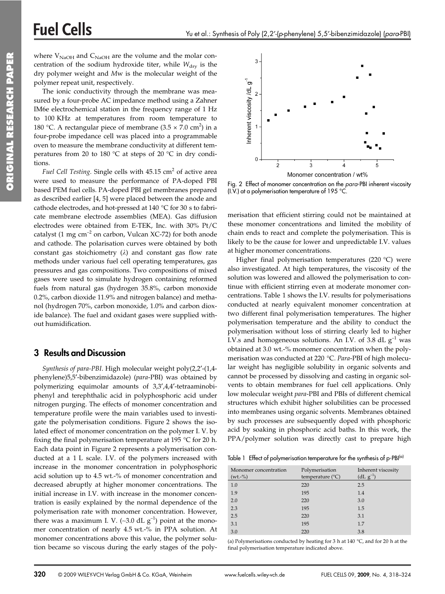where  $V_{\text{NaOH}}$  and  $C_{\text{NaOH}}$  are the volume and the molar concentration of the sodium hydroxide titer, while  $W_{\text{dry}}$  is the dry polymer weight and *M*w is the molecular weight of the polymer repeat unit, respectively.

The ionic conductivity through the membrane was measured by a four-probe AC impedance method using a Zahner IM6e electrochemical station in the frequency range of 1 Hz to 100 KHz at temperatures from room temperature to 180 °C. A rectangular piece of membrane  $(3.5 \times 7.0 \text{ cm}^2)$  in a four-probe impedance cell was placed into a programmable oven to measure the membrane conductivity at different temperatures from 20 to 180  $^{\circ}$ C at steps of 20  $^{\circ}$ C in dry conditions.

*Fuel Cell Testing.* Single cells with 45.15 cm<sup>2</sup> of active area were used to measure the performance of PA-doped PBI based PEM fuel cells. PA-doped PBI gel membranes prepared as described earlier [4, 5] were placed between the anode and cathode electrodes, and hot-pressed at 140 °C for 30 s to fabricate membrane electrode assemblies (MEA). Gas diffusion electrodes were obtained from E-TEK, Inc. with 30% Pt/C catalyst (1 mg  $\text{cm}^{-2}$  on carbon, Vulcan XC-72) for both anode and cathode. The polarisation curves were obtained by both constant gas stoichiometry  $(\lambda)$  and constant gas flow rate methods under various fuel cell operating temperatures, gas pressures and gas compositions. Two compositions of mixed gases were used to simulate hydrogen containing reformed fuels from natural gas (hydrogen 35.8%, carbon monoxide 0.2%, carbon dioxide 11.9% and nitrogen balance) and methanol (hydrogen 70%, carbon monoxide, 1.0% and carbon dioxide balance). The fuel and oxidant gases were supplied without humidification.

### 3 Results and Discussion

*Synthesis of para-PBI*. High molecular weight poly(2,2′-(1,4 phenylene)5,5′-bibenzimidazole) (*para*-PBI) was obtained by polymerizing equimolar amounts of 3,3′,4,4′-tetraaminobiphenyl and terephthalic acid in polyphosphoric acid under nitrogen purging. The effects of monomer concentration and temperature profile were the main variables used to investigate the polymerisation conditions. Figure 2 shows the isolated effect of monomer concentration on the polymer I. V. by fixing the final polymerisation temperature at 195 °C for 20 h. Each data point in Figure 2 represents a polymerisation conducted at a 1 L scale. I.V. of the polymers increased with increase in the monomer concentration in polyphosphoric acid solution up to 4.5 wt.-% of monomer concentration and decreased abruptly at higher monomer concentrations. The initial increase in I.V. with increase in the monomer concentration is easily explained by the normal dependence of the polymerisation rate with monomer concentration. However, there was a maximum I. V. (~3.0 dL  $g^{-1}$ ) point at the monomer concentration of nearly 4.5 wt.-% in PPA solution. At monomer concentrations above this value, the polymer solution became so viscous during the early stages of the poly-



Fig. 2 Effect of monomer concentration on the para-PBI inherent viscosity (I.V.) at a polymerisation temperature of 195 °C.

merisation that efficient stirring could not be maintained at these monomer concentrations and limited the mobility of chain ends to react and complete the polymerisation. This is likely to be the cause for lower and unpredictable I.V. values at higher monomer concentrations.

Higher final polymerisation temperatures (220 °C) were also investigated. At high temperatures, the viscosity of the solution was lowered and allowed the polymerisation to continue with efficient stirring even at moderate monomer concentrations. Table 1 shows the I.V. results for polymerisations conducted at nearly equivalent monomer concentration at two different final polymerisation temperatures. The higher polymerisation temperature and the ability to conduct the polymerisation without loss of stirring clearly led to higher I.V.s and homogeneous solutions. An I.V. of 3.8 dL  $g^{-1}$  was obtained at 3.0 wt.-% monomer concentration when the polymerisation was conducted at 220 °C. *Para*-PBI of high molecular weight has negligible solubility in organic solvents and cannot be processed by dissolving and casting in organic solvents to obtain membranes for fuel cell applications. Only low molecular weight *para*-PBI and PBIs of different chemical structures which exhibit higher solubilities can be processed into membranes using organic solvents. Membranes obtained by such processes are subsequently doped with phosphoric acid by soaking in phosphoric acid baths. In this work, the PPA/polymer solution was directly cast to prepare high

Table 1 Effect of polymerisation temperature for the synthesis of p-PBI<sup>(a)</sup>

| Monomer concentration<br>$(wt.-\%)$ | Polymerisation<br>temperature $(^{\circ}C)$ | Inherent viscosity<br>$(dL g^{-1})$ |
|-------------------------------------|---------------------------------------------|-------------------------------------|
| 1.0                                 | 220                                         | 2.5                                 |
| 1.9                                 | 195                                         | 1.4                                 |
| 2.0                                 | 220                                         | 3.0                                 |
| 2.3                                 | 195                                         | 1.5                                 |
| 2.5                                 | 220                                         | 3.1                                 |
| 3.1                                 | 195                                         | 1.7                                 |
| 3.0                                 | 220                                         | 3.8                                 |

(a) Polymerisations conducted by heating for 3 h at 140 °C, and for 20 h at the final polymerisation temperature indicated above.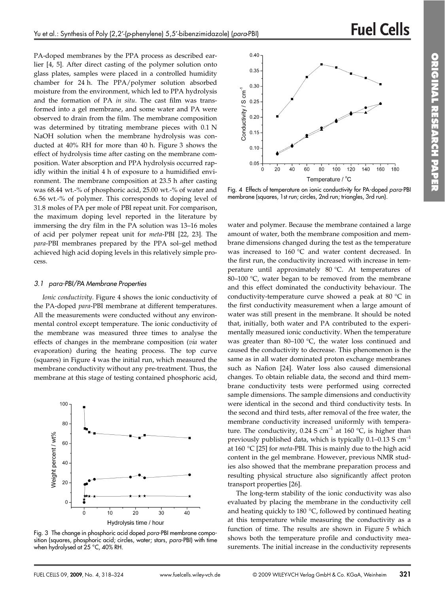PA-doped membranes by the PPA process as described earlier [4, 5]. After direct casting of the polymer solution onto glass plates, samples were placed in a controlled humidity chamber for 24 h. The PPA/polymer solution absorbed moisture from the environment, which led to PPA hydrolysis and the formation of PA *in situ*. The cast film was transformed into a gel membrane, and some water and PA were observed to drain from the film. The membrane composition was determined by titrating membrane pieces with 0.1 N NaOH solution when the membrane hydrolysis was conducted at 40% RH for more than 40 h. Figure 3 shows the effect of hydrolysis time after casting on the membrane composition. Water absorption and PPA hydrolysis occurred rapidly within the initial 4 h of exposure to a humidified environment. The membrane composition at 23.5 h after casting was 68.44 wt.-% of phosphoric acid, 25.00 wt.-% of water and 6.56 wt.-% of polymer. This corresponds to doping level of 31.8 moles of PA per mole of PBI repeat unit. For comparison, the maximum doping level reported in the literature by immersing the dry film in the PA solution was 13–16 moles of acid per polymer repeat unit for *meta*-PBI [22, 23]. The *para*-PBI membranes prepared by the PPA sol–gel method achieved high acid doping levels in this relatively simple process.

#### 3.1 para-PBI/PA Membrane Properties

*Ionic conductivity*. Figure 4 shows the ionic conductivity of the PA-doped *para*-PBI membrane at different temperatures. All the measurements were conducted without any environmental control except temperature. The ionic conductivity of the membrane was measured three times to analyse the effects of changes in the membrane composition (*via* water evaporation) during the heating process. The top curve (squares) in Figure 4 was the initial run, which measured the membrane conductivity without any pre-treatment. Thus, the membrane at this stage of testing contained phosphoric acid,



Fig. 3 The change in phosphoric acid doped para-PBI membrane composition (squares, phosphoric acid; circles, water; stars, para-PBI) with time when hydrolysed at 25 °C, 40% RH.



Fig. 4 Effects of temperature on ionic conductivity for PA-doped para-PBI membrane (squares, 1st run; circles, 2nd run; triangles, 3rd run).

water and polymer. Because the membrane contained a large amount of water, both the membrane composition and membrane dimensions changed during the test as the temperature was increased to 160 °C and water content decreased. In the first run, the conductivity increased with increase in temperature until approximately 80 °C. At temperatures of 80–100 °C, water began to be removed from the membrane and this effect dominated the conductivity behaviour. The conductivity-temperature curve showed a peak at 80 °C in the first conductivity measurement when a large amount of water was still present in the membrane. It should be noted that, initially, both water and PA contributed to the experimentally measured ionic conductivity. When the temperature was greater than 80–100 °C, the water loss continued and caused the conductivity to decrease. This phenomenon is the same as in all water dominated proton exchange membranes such as Nafion [24]. Water loss also caused dimensional changes. To obtain reliable data, the second and third membrane conductivity tests were performed using corrected sample dimensions. The sample dimensions and conductivity were identical in the second and third conductivity tests. In the second and third tests, after removal of the free water, the membrane conductivity increased uniformly with temperature. The conductivity,  $0.24$  S cm<sup>-1</sup> at 160 °C, is higher than previously published data, which is typically  $0.1-0.13$  S cm<sup>-1</sup> at 160 °C [25] for *meta*-PBI. This is mainly due to the high acid content in the gel membrane. However, previous NMR studies also showed that the membrane preparation process and resulting physical structure also significantly affect proton transport properties [26].

The long-term stability of the ionic conductivity was also evaluated by placing the membrane in the conductivity cell and heating quickly to 180 °C, followed by continued heating at this temperature while measuring the conductivity as a function of time. The results are shown in Figure 5 which shows both the temperature profile and conductivity measurements. The initial increase in the conductivity represents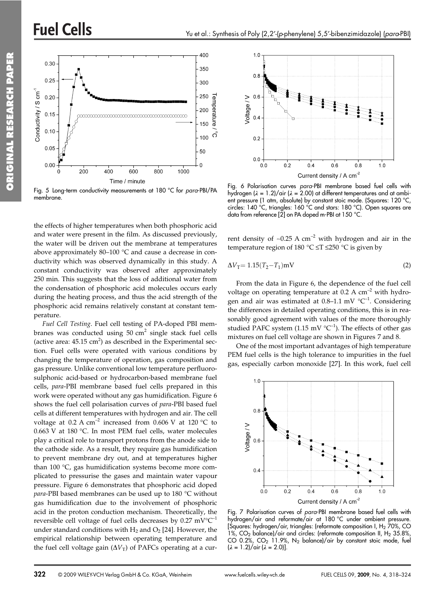# **Fuel Cells**



Fig. 5 Long-term conductivity measurements at 180 °C for para-PBI/PA membrane.

the effects of higher temperatures when both phosphoric acid and water were present in the film. As discussed previously, the water will be driven out the membrane at temperatures above approximately 80–100 °C and cause a decrease in conductivity which was observed dynamically in this study. A constant conductivity was observed after approximately 250 min. This suggests that the loss of additional water from the condensation of phosphoric acid molecules occurs early during the heating process, and thus the acid strength of the phosphoric acid remains relatively constant at constant temperature.

*Fuel Cell Testing*. Fuel cell testing of PA-doped PBI membranes was conducted using  $50 \text{ cm}^2$  single stack fuel cells (active area:  $45.15 \text{ cm}^2$ ) as described in the Experimental section. Fuel cells were operated with various conditions by changing the temperature of operation, gas composition and gas pressure. Unlike conventional low temperature perfluorosulphonic acid-based or hydrocarbon-based membrane fuel cells, *para*-PBI membrane based fuel cells prepared in this work were operated without any gas humidification. Figure 6 shows the fuel cell polarisation curves of *para*-PBI based fuel cells at different temperatures with hydrogen and air. The cell voltage at 0.2 A  $cm^{-2}$  increased from 0.606 V at 120 °C to 0.663 V at 180 °C. In most PEM fuel cells, water molecules play a critical role to transport protons from the anode side to the cathode side. As a result, they require gas humidification to prevent membrane dry out, and at temperatures higher than 100 °C, gas humidification systems become more complicated to pressurise the gases and maintain water vapour pressure. Figure 6 demonstrates that phosphoric acid doped *para*-PBI based membranes can be used up to 180 °C without gas humidification due to the involvement of phosphoric acid in the proton conduction mechanism. Theoretically, the reversible cell voltage of fuel cells decreases by  $0.27 \text{ mV}^{\circ}\text{C}^{-1}$ under standard conditions with  $H_2$  and  $O_2$  [24]. However, the empirical relationship between operating temperature and the fuel cell voltage gain  $(\Delta V_T)$  of PAFCs operating at a cur-



Fig. 6 Polarisation curves para-PBI membrane based fuel cells with hydrogen (**k** = 1.2)/air (**k** = 2.00) at different temperatures and at ambient pressure (1 atm, absolute) by constant stoic mode. (Squares: 120 °C, circles: 140 °C, triangles: 160 °C and stars: 180 °C). Open squares are data from reference [2] on PA doped m-PBI at 150 °C.

rent density of ~0.25 A cm<sup>-2</sup> with hydrogen and air in the temperature region of 180 °C  $\leq T \leq 250$  °C is given by

$$
\Delta V_{\rm T} = 1.15(T_2 - T_1) \rm mV
$$
 (2)

From the data in Figure 6, the dependence of the fuel cell voltage on operating temperature at  $0.2 \text{ A cm}^{-2}$  with hydrogen and air was estimated at 0.8–1.1 mV  $^{\circ}C^{-1}$ . Considering the differences in detailed operating conditions, this is in reasonably good agreement with values of the more thoroughly studied PAFC system (1.15 mV  $^{\circ}C^{-1}$ ). The effects of other gas mixtures on fuel cell voltage are shown in Figures 7 and 8.

One of the most important advantages of high temperature PEM fuel cells is the high tolerance to impurities in the fuel gas, especially carbon monoxide [27]. In this work, fuel cell



Fig. 7 Polarisation curves of para-PBI membrane based fuel cells with hydrogen/air and reformate/air at 180 °C under ambient pressure. [Squares: hydrogen/air, triangles: (reformate composition I,  $H_2$  70%, CO 1%,  $CO<sub>2</sub>$  balance)/air and circles: (reformate composition II, H<sub>2</sub> 35.8% CO 0.2%, CO<sub>2</sub> 11.9%, N<sub>2</sub> balance)/air by constant stoic mode, fuel  $(\lambda = 1.2)/\pi$  ( $\lambda = 2.0$ )].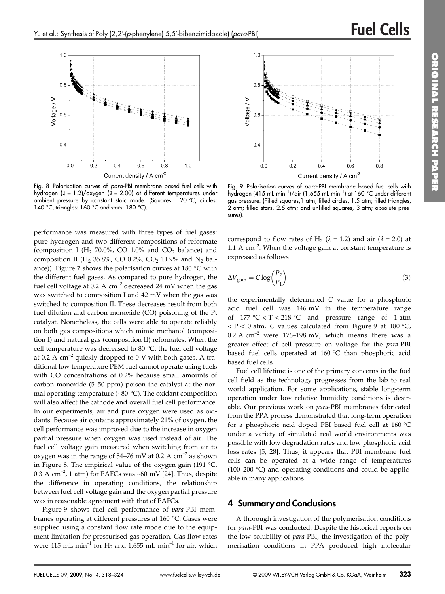

Fig. 8 Polarisation curves of para-PBI membrane based fuel cells with hydrogen (**k** = 1.2)/oxygen (**k** = 2.00) at different temperatures under ambient pressure by constant stoic mode. (Squares: 120 °C, circles: 140 °C, triangles: 160 °C and stars: 180 °C).

performance was measured with three types of fuel gases: pure hydrogen and two different compositions of reformate (composition I (H<sub>2</sub> 70.0%, CO 1.0% and CO<sub>2</sub> balance) and composition II (H<sub>2</sub> 35.8%, CO 0.2%, CO<sub>2</sub> 11.9% and N<sub>2</sub> balance)). Figure 7 shows the polarisation curves at 180 °C with the different fuel gases. As compared to pure hydrogen, the fuel cell voltage at 0.2 A  $cm^{-2}$  decreased 24 mV when the gas was switched to composition I and 42 mV when the gas was switched to composition II. These decreases result from both fuel dilution and carbon monoxide (CO) poisoning of the Pt catalyst. Nonetheless, the cells were able to operate reliably on both gas compositions which mimic methanol (composition I) and natural gas (composition II) reformates. When the cell temperature was decreased to 80 °C, the fuel cell voltage at 0.2 A  $\text{cm}^{-2}$  quickly dropped to 0 V with both gases. A traditional low temperature PEM fuel cannot operate using fuels with CO concentrations of 0.2% because small amounts of carbon monoxide (5–50 ppm) poison the catalyst at the normal operating temperature (∼80 °C). The oxidant composition will also affect the cathode and overall fuel cell performance. In our experiments, air and pure oxygen were used as oxidants. Because air contains approximately 21% of oxygen, the cell performance was improved due to the increase in oxygen partial pressure when oxygen was used instead of air. The fuel cell voltage gain measured when switching from air to oxygen was in the range of 54–76 mV at 0.2 A  $cm^{-2}$  as shown in Figure 8. The empirical value of the oxygen gain (191  $^{\circ}C$ , 0.3 A cm<sup>-2</sup>, 1 atm) for PAFCs was ~60 mV [24]. Thus, despite the difference in operating conditions, the relationship between fuel cell voltage gain and the oxygen partial pressure was in reasonable agreement with that of PAFCs.

Figure 9 shows fuel cell performance of *para*-PBI membranes operating at different pressures at 160 °C. Gases were supplied using a constant flow rate mode due to the equipment limitation for pressurised gas operation. Gas flow rates were 415 mL min<sup>-1</sup> for H<sub>2</sub> and 1,655 mL min<sup>-1</sup> for air, which



Fig. 9 Polarisation curves of para-PBI membrane based fuel cells with hydrogen (415 mL min<sup>-1</sup>)/air (1,655 mL min<sup>-1</sup>) at 160 °C under different gas pressure. (Filled squares,1 atm; filled circles, 1.5 atm; filled triangles, 2 atm; filled stars, 2.5 atm; and unfilled squares, 3 atm; absolute pressures).

correspond to flow rates of H<sub>2</sub> ( $\lambda$  = 1.2) and air ( $\lambda$  = 2.0) at 1.1 A  $cm^{-2}$ . When the voltage gain at constant temperature is expressed as follows

$$
\Delta V_{\text{gain}} = C \log \left( \frac{P_2}{P_1} \right) \tag{3}
$$

the experimentally determined *C* value for a phosphoric acid fuel cell was 146 mV in the temperature range of  $177 \text{ °C} < T < 218 \text{ °C}$  and pressure range of 1 atm  $P <$  P < 10 atm. *C* values calculated from Figure 9 at 180 °C, 0.2 A  $cm^{-2}$  were 176–198 mV, which means there was a greater effect of cell pressure on voltage for the *para*-PBI based fuel cells operated at 160 °C than phosphoric acid based fuel cells.

Fuel cell lifetime is one of the primary concerns in the fuel cell field as the technology progresses from the lab to real world application. For some applications, stable long-term operation under low relative humidity conditions is desirable. Our previous work on *para*-PBI membranes fabricated from the PPA process demonstrated that long-term operation for a phosphoric acid doped PBI based fuel cell at 160 °C under a variety of simulated real world environments was possible with low degradation rates and low phosphoric acid loss rates [5, 28]. Thus, it appears that PBI membrane fuel cells can be operated at a wide range of temperatures (100–200 °C) and operating conditions and could be applicable in many applications.

#### 4 Summary and Conclusions

A thorough investigation of the polymerisation conditions for *para*-PBI was conducted. Despite the historical reports on the low solubility of *para*-PBI, the investigation of the polymerisation conditions in PPA produced high molecular